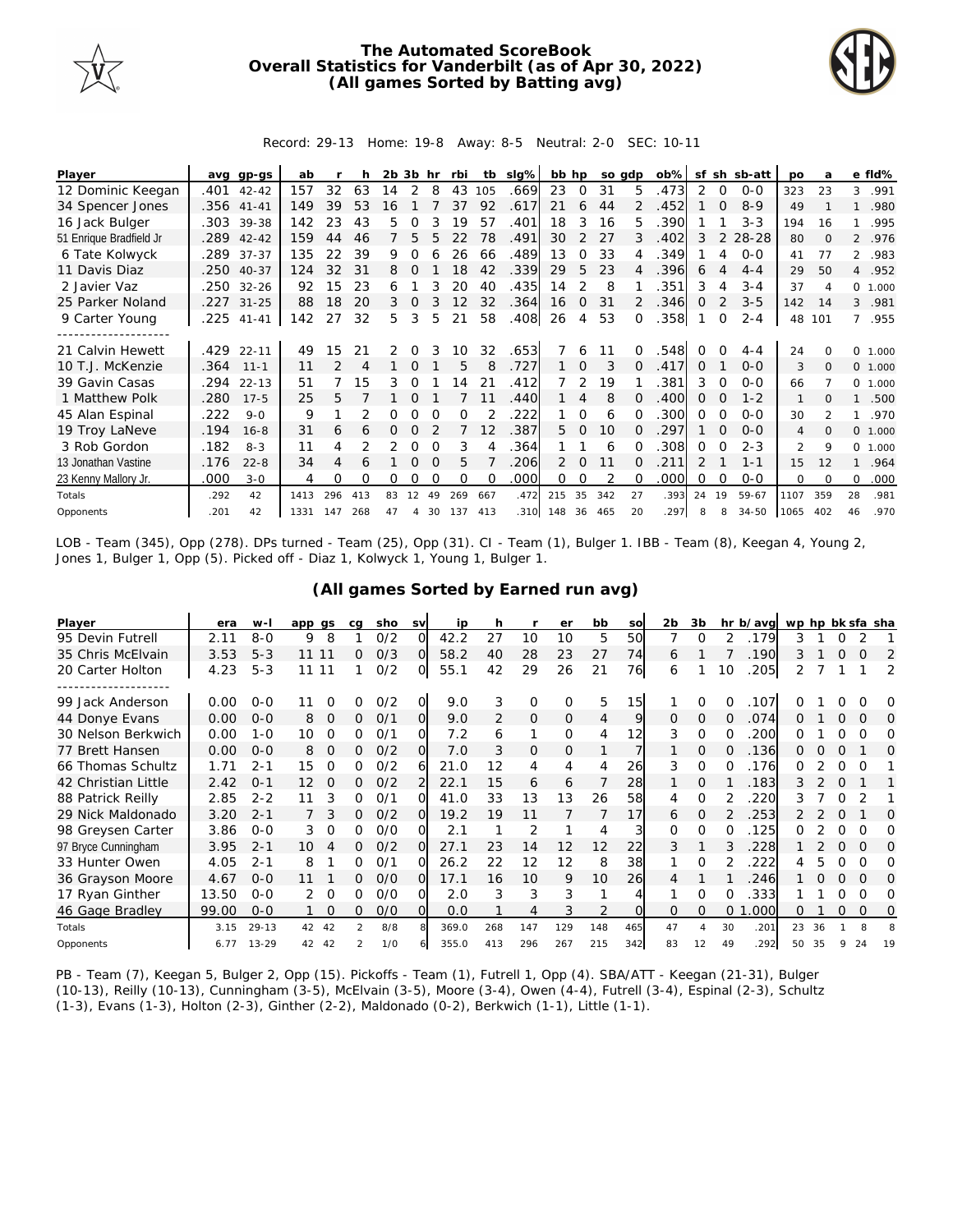

## **The Automated ScoreBook Overall Statistics for Vanderbilt (as of Apr 30, 2022) (All games Sorted by Batting avg)**



## Record: 29-13 Home: 19-8 Away: 8-5 Neutral: 2-0 SEC: 10-11

| Player                  | ava  | gp-gs      | ab   |     |     | 2b 3b |          | hr       | rbi      | tb       | slg% | bb hp |               | so adp |          | ob%  | sf       | sh       | sb-att    | <b>DO</b>      | a        |                | e fld%  |
|-------------------------|------|------------|------|-----|-----|-------|----------|----------|----------|----------|------|-------|---------------|--------|----------|------|----------|----------|-----------|----------------|----------|----------------|---------|
| 12 Dominic Keegan       | .401 | $42 - 42$  | 157  | 32  | 63  | 14    | 2        | 8        | 43       | 105      | .669 | 23    | 0             | 31     | 5        | .473 |          | $\Omega$ | $0 - 0$   | 323            | 23       | 3              | .991    |
| 34 Spencer Jones        |      | .356 41-41 | 149  | 39  | 53  | 16    |          |          | 37       | 92       | .617 | 21    | 6             | 44     |          | .452 |          | $\Omega$ | $8 - 9$   | 49             |          |                | .980    |
| 16 Jack Bulger          | .303 | 39-38      | 142  | 23  | 43  | 5     |          |          | 19       | 57       | .401 | 18    | 3             | 16     | 5.       | 390  |          |          | $3 - 3$   | 194            | 16       |                | .995    |
| 51 Enrique Bradfield Jr | .289 | $42 - 42$  | 159  | 44  | 46  |       | 5        | 5        | 22       | 78       | .491 | 30    | $\mathcal{P}$ | 27     | 3        | .402 | 3        | 2        | 28-28     | 80             | $\Omega$ |                | 2 .976  |
| 6 Tate Kolwyck          | .289 | $37 - 37$  | 135  | 22  | 39  | 9.    | 0        |          | 26       | 66       | .489 | 13    | 0             | 33     |          | .349 |          |          | $O-O$     | 41             | 77       | 2              | .983    |
| 11 Davis Diaz           | .250 | $40 - 37$  | 124  | 32  | 31  | 8     | $\Omega$ |          | 18       | 42       | .339 | 29    | 5             | 23     | 4        | .396 | 6        |          | $4 - 4$   | 29             | 50       |                | 4 .952  |
| 2 Javier Vaz            | .250 | $32 - 26$  | 92   | 15  | 23  | 6     |          | 3        | 20       | 40       | .435 | 14    |               | 8      |          | .351 | 3        | 4        | $3 - 4$   | 37             |          |                | 0 1.000 |
| 25 Parker Noland        |      | .227 31-25 | 88   | 18  | 20  | 3     | 0        | 3        | 12       | 32       | .364 | 16    | $\Omega$      | 31     |          | .346 | O        |          | $3 - 5$   | 142            | 14       | 3              | .981    |
| 9 Carter Young          | .225 | $41 - 41$  | 142  | 27  | 32  | 5.    | 3        | 5        | 21       | 58       | .408 | 26    | 4             | 53     |          | .358 |          | $\Omega$ | $2 - 4$   | 48             | 101      | $\overline{7}$ | .955    |
|                         |      |            |      |     |     |       |          |          |          |          |      |       |               |        |          |      |          |          |           |                |          |                |         |
| 21 Calvin Hewett        | .429 | $22 - 11$  | 49   | 15  | 21  | 2     | 0        |          | 10       | 32       | .653 |       | 6             |        |          | 548  |          |          | $4 - 4$   | 24             |          | $\Omega$       | 1.000   |
| 10 T.J. McKenzie        | .364 | $11 - 1$   | 11   | 2   | 4   |       | $\Omega$ |          | 5        | 8        | .727 |       | $\Omega$      | 3      |          | .417 | $\Omega$ |          | $O-O$     | 3              | $\Omega$ |                | 0 1.000 |
| 39 Gavin Casas          | .294 | $22 - 13$  | 51   |     | 15  | 3     | $\Omega$ |          | 4        | 21       | .412 |       | 2             | 19     |          | .381 | 3        | 0        | $0 - 0$   | 66             |          |                | 0 1.000 |
| 1 Matthew Polk          | .280 | $17 - 5$   | 25   | 5   |     |       |          |          |          |          | .440 |       | 4             | 8      |          | 400  | $\Omega$ | $\Omega$ | $1 - 2$   | $\mathbf{1}$   |          |                | .500    |
| 45 Alan Espinal         | .222 | $9 - 0$    | 9    |     |     |       |          |          | O        |          | 222  |       | 0             | 6      |          | 300  | O        |          | $O-O$     | 30             |          |                | .970    |
| 19 Troy LaNeve          | .194 | $16 - 8$   | 31   | 6   | 6   | 0     | 0        |          |          | 12       | .387 | 5.    | $\Omega$      | 10     | $\Omega$ | 297  |          | $\Omega$ | $O-O$     | $\overline{4}$ | $\Omega$ | $\Omega$       | 1.000   |
| 3 Rob Gordon            | .182 | $8 - 3$    | 11   | 4   |     |       | Ω        |          | 3        |          | .364 |       |               | 6      |          | .308 | 0        |          | $2 - 3$   | $\mathcal{P}$  | 9        | $\Omega$       | 1.000   |
| 13 Jonathan Vastine     | .176 | $22 - 8$   | 34   | 4   | 6   |       | 0        | $\Omega$ | 5        |          | 206  | 2     | $\Omega$      | 11     |          | .211 |          |          | $1 - 1$   | 15             | 12       |                | .964    |
| 23 Kenny Mallory Jr.    | .000 | $3 - 0$    | 4    | 0   | 0   | 0     | Ω        | $\Omega$ | $\Omega$ | $\Omega$ | .000 | 0     | 0             |        |          | .000 | Ω        | $\Omega$ | $0 - 0$   | $\Omega$       | $\Omega$ | $\Omega$       | .000    |
| Totals                  | .292 | 42         | 1413 | 296 | 413 | 83    | 12       | 49       | 269      | 667      | .472 | 215   | 35            | 342    | 27       | .393 | 24       | 19       | 59-67     | 1107           | 359      | 28             | .981    |
| Opponents               | .201 | 42         | 1331 | 147 | 268 | 47    | 4        | 30       | 137      | 413      | .310 | 148   | 36            | 465    | 20       | 297  | 8        | 8        | $34 - 50$ | 1065           | 402      | 46             | .970    |

LOB - Team (345), Opp (278). DPs turned - Team (25), Opp (31). CI - Team (1), Bulger 1. IBB - Team (8), Keegan 4, Young 2, Jones 1, Bulger 1, Opp (5). Picked off - Diaz 1, Kolwyck 1, Young 1, Bulger 1.

| (All games Sorted by Earned run avg) |  |
|--------------------------------------|--|
|--------------------------------------|--|

| Player              | era   | $W -$     | app gs |          | ca            | sho | <b>SV</b> | ip    | h   |                | er       | bb             | SO  | 2b       | 3b       |          | hr b/avg wp hp bk sfa sha |    |    |          |          |          |
|---------------------|-------|-----------|--------|----------|---------------|-----|-----------|-------|-----|----------------|----------|----------------|-----|----------|----------|----------|---------------------------|----|----|----------|----------|----------|
| 95 Devin Futrell    | 2.11  | $8 - 0$   | 9      | 8        |               | 0/2 | ΩI        | 42.2  | 27  | 10             | 10       | 5              | 50  |          | Ω        | 2        | .179                      | 3  |    |          |          |          |
| 35 Chris McElvain   | 3.53  | $5 - 3$   | 11 11  |          | 0             | O/3 | ΩI        | 58.2  | 40  | 28             | 23       | 27             | 74  | 6        |          |          | .190                      | 3  |    | 0        | Ω        | 2        |
| 20 Carter Holton    | 4.23  | $5 - 3$   | 11     | 11       |               | 0/2 | O.        | 55.1  | 42  | 29             | 26       | 21             | 76  | 6        |          | 10       | 205                       |    |    |          |          | 2        |
|                     |       |           |        |          |               |     |           |       |     |                |          |                |     |          |          |          |                           |    |    |          |          |          |
| 99 Jack Anderson    | 0.00  | $0 - 0$   |        |          |               | O/2 | O.        | 9.0   | 3   | 0              | O        | 5              | 15  |          | Ω        | 0        | .107                      |    |    |          |          | $\Omega$ |
| 44 Donye Evans      | 0.00  | $0-0$     | 8      | $\Omega$ | 0             | O/1 | $\Omega$  | 9.0   | 2   | $\overline{O}$ | $\Omega$ | $\overline{4}$ | 9   | $\Omega$ | $\Omega$ | 0        | .074                      | O  |    | Ω        | O        | $\Omega$ |
| 30 Nelson Berkwich  | 0.00  | $1 - 0$   | 10     |          | 0             | 0/1 | വ         | 7.2   | 6   | 1              | $\Omega$ | 4              | 12  | 3        | 0        | O        | 200                       |    |    | Ω        |          | O        |
| 77 Brett Hansen     | 0.00  | $0 - 0$   | 8      | $\Omega$ | 0             | 0/2 | O.        | 7.0   | 3   | 0              | $\Omega$ | 1              |     |          | 0        | $\Omega$ | .136                      | 0  |    | O        |          | $\Omega$ |
| 66 Thomas Schultz   | 1.71  | $2 - 1$   | 15     | $\Omega$ | 0             | 0/2 | 6         | 21.0  | 12  | 4              | 4        | 4              | 26  | 3        | 0        | 0        | .176                      | Ω  |    | O        | O        |          |
| 42 Christian Little | 2.42  | $0 - 1$   | 12     |          | 0             | 0/2 |           | 22.1  | 15  | 6              | 6        |                | 28  |          | $\Omega$ |          | .183                      |    |    | O        |          |          |
| 88 Patrick Reilly   | 2.85  | $2 - 2$   | 11     | 3        | <sup>o</sup>  | 0/1 |           | 41.0  | 33  | 13             | 13       | 26             | 58  | 4        | $\Omega$ |          | 220                       |    |    | 0        |          |          |
| 29 Nick Maldonado   | 3.20  | $2 - 1$   |        | 3        | 0             | O/2 | ΩI        | 19.2  | 19  | 11             |          | 7              | 17  | 6        | O        |          | 253                       |    |    | $\Omega$ |          | $\Omega$ |
| 98 Greysen Carter   | 3.86  | $0 - 0$   | 3.     | $\Omega$ | 0             | O/O | വ         | 2.1   |     | 2              |          | 4              | 3   | $\Omega$ | $\Omega$ | 0        | .125                      | ∩  |    | O        | Ω        | O        |
| 97 Bryce Cunningham | 3.95  | $2 - 1$   | 10     |          | 0             | O/2 | OI        | 27.1  | 23  | 14             | 12       | 12             | 22  | 3        |          |          | 228                       |    |    | Ω        |          | $\Omega$ |
| 33 Hunter Owen      | 4.05  | $2 - 1$   | 8      |          | 0             | 0/1 |           | 26.2  | 22  | 12             | 12       | 8              | 38  |          | 0        |          | 222                       |    |    | O        |          | O        |
| 36 Grayson Moore    | 4.67  | $0 - 0$   | 11     |          |               | O/O | $\Omega$  | 17.1  | 16  | 10             | 9        | 10             | 26  | 4        |          |          | 246                       |    |    | O        | $\Omega$ | $\Omega$ |
| 17 Ryan Ginther     | 13.50 | $0 - 0$   | 2      | $\Omega$ | ∩             | 0/0 | വ         | 2.0   | 3   | 3              | 3        |                | 4   |          | O        | O        | 333                       |    |    | Ω        | Ω        | O        |
| 46 Gage Bradley     | 99.00 | $0 - 0$   |        | $\Omega$ | 0             | O/O | ΩL        | 0.0   |     | 4              | 3        | 2              | Ω   | $\Omega$ | $\Omega$ | 0        | 000                       | 0  |    | 0        | O        | 0        |
| Totals              | 3.15  | $29 - 13$ | 42     | 42       | $\mathcal{P}$ | 8/8 |           | 369.0 | 268 | 147            | 129      | 148            | 465 | 47       | 4        | 30       | .201                      | 23 | 36 |          | 8        | 8        |
| Opponents           | 6.77  | $13 - 29$ | 42     | 42       |               | 1/0 |           | 355.0 | 413 | 296            | 267      | 215            | 342 | 83       | 12       | 49       | .292                      | 50 | 35 | 9        | 24       | 19       |

PB - Team (7), Keegan 5, Bulger 2, Opp (15). Pickoffs - Team (1), Futrell 1, Opp (4). SBA/ATT - Keegan (21-31), Bulger (10-13), Reilly (10-13), Cunningham (3-5), McElvain (3-5), Moore (3-4), Owen (4-4), Futrell (3-4), Espinal (2-3), Schultz (1-3), Evans (1-3), Holton (2-3), Ginther (2-2), Maldonado (0-2), Berkwich (1-1), Little (1-1).